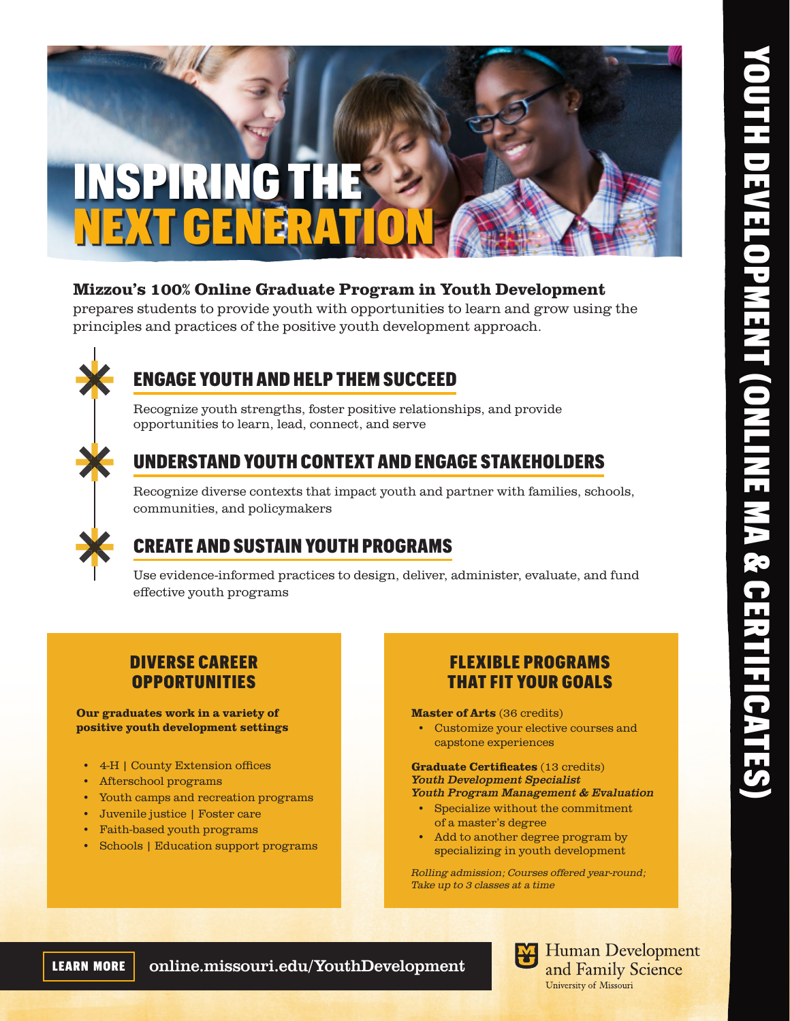

## Mizzou's 100% Online Graduate Program in Youth Development

prepares students to provide youth with opportunities to learn and grow using the principles and practices of the positive youth development approach.



# ENGAGE YOUTH AND HELP THEM SUCCEED

Recognize youth strengths, foster positive relationships, and provide opportunities to learn, lead, connect, and serve

# UNDERSTAND YOUTH CONTEXT AND ENGAGE STAKEHOLDERS

Recognize diverse contexts that impact youth and partner with families, schools, communities, and policymakers

# CREATE AND SUSTAIN YOUTH PROGRAMS

Use evidence-informed practices to design, deliver, administer, evaluate, and fund effective youth programs

## DIVERSE CAREER **OPPORTUNITIES**

Our graduates work in a variety of positive youth development settings

- 4-H | County Extension offices
- Afterschool programs
- Youth camps and recreation programs
- Juvenile justice | Foster care
- Faith-based youth programs
- Schools | Education support programs

## FLEXIBLE PROGRAMS THAT FIT YOUR GOALS

Master of Arts (36 credits)

• Customize your elective courses and capstone experiences

#### Graduate Certificates (13 credits) *Youth Development Specialist Youth Program Management & Evaluation*

- Specialize without the commitment of a master's degree
- Add to another degree program by specializing in youth development

Rolling admission; Courses offered year-round; Take up to 3 classes at a time

LEARN MORE online.missouri.edu/YouthDevelopment

**Human Development** and Family Science University of Missouri